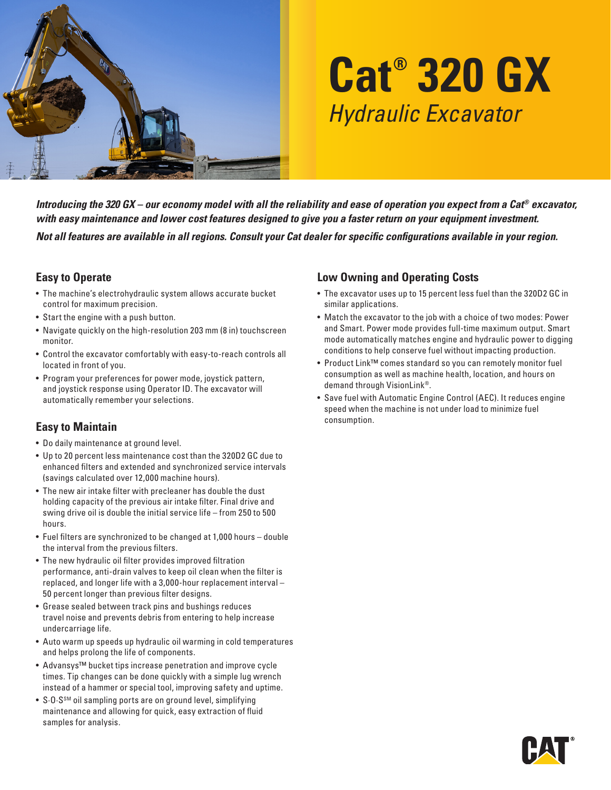

# **Cat® 320 GX** *Hydraulic Excavator*

*Introducing the 320 GX – our economy model with all the reliability and ease of operation you expect from a Cat® excavator, with easy maintenance and lower cost features designed to give you a faster return on your equipment investment.* 

*Not all features are available in all regions. Consult your Cat dealer for specific configurations available in your region.*

#### **Easy to Operate**

- The machine's electrohydraulic system allows accurate bucket control for maximum precision.
- Start the engine with a push button.
- Navigate quickly on the high-resolution 203 mm (8 in) touchscreen monitor.
- Control the excavator comfortably with easy-to-reach controls all located in front of you.
- Program your preferences for power mode, joystick pattern, and joystick response using Operator ID. The excavator will automatically remember your selections.

## **Easy to Maintain**

- Do daily maintenance at ground level.
- Up to 20 percent less maintenance cost than the 320D2 GC due to enhanced filters and extended and synchronized service intervals (savings calculated over 12,000 machine hours).
- The new air intake filter with precleaner has double the dust holding capacity of the previous air intake filter. Final drive and swing drive oil is double the initial service life – from 250 to 500 hours.
- Fuel filters are synchronized to be changed at 1,000 hours double the interval from the previous filters.
- The new hydraulic oil filter provides improved filtration performance, anti-drain valves to keep oil clean when the filter is replaced, and longer life with a 3,000-hour replacement interval – 50 percent longer than previous filter designs.
- Grease sealed between track pins and bushings reduces travel noise and prevents debris from entering to help increase undercarriage life.
- Auto warm up speeds up hydraulic oil warming in cold temperatures and helps prolong the life of components.
- Advansys™ bucket tips increase penetration and improve cycle times. Tip changes can be done quickly with a simple lug wrench instead of a hammer or special tool, improving safety and uptime.
- S $\cdot$  O $\cdot$ S<sup>SM</sup> oil sampling ports are on ground level, simplifying maintenance and allowing for quick, easy extraction of fluid samples for analysis.

#### **Low Owning and Operating Costs**

- The excavator uses up to 15 percent less fuel than the 320D2 GC in similar applications.
- Match the excavator to the job with a choice of two modes: Power and Smart. Power mode provides full-time maximum output. Smart mode automatically matches engine and hydraulic power to digging conditions to help conserve fuel without impacting production.
- Product Link™ comes standard so you can remotely monitor fuel consumption as well as machine health, location, and hours on demand through VisionLink®.
- Save fuel with Automatic Engine Control (AEC). It reduces engine speed when the machine is not under load to minimize fuel consumption.

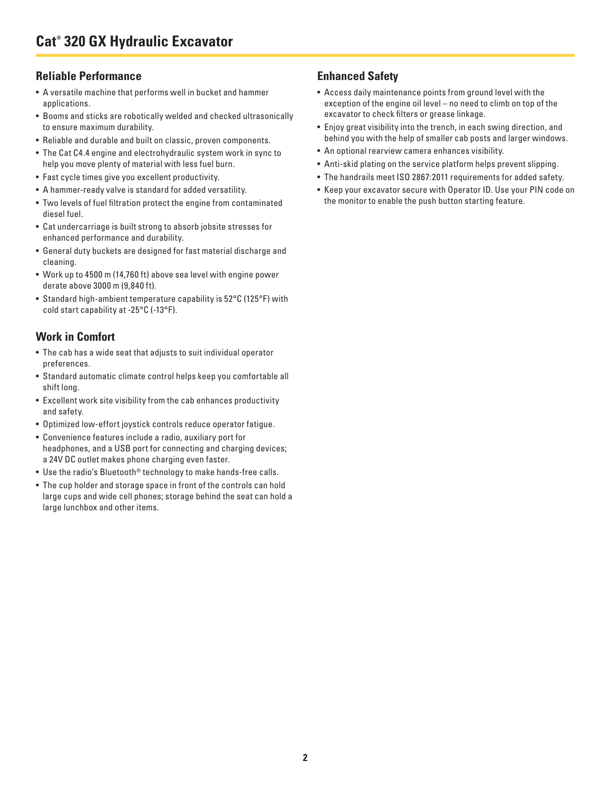#### **Reliable Performance**

- A versatile machine that performs well in bucket and hammer applications.
- Booms and sticks are robotically welded and checked ultrasonically to ensure maximum durability.
- Reliable and durable and built on classic, proven components.
- The Cat C4.4 engine and electrohydraulic system work in sync to help you move plenty of material with less fuel burn.
- Fast cycle times give you excellent productivity.
- A hammer-ready valve is standard for added versatility.
- Two levels of fuel filtration protect the engine from contaminated diesel fuel.
- Cat undercarriage is built strong to absorb jobsite stresses for enhanced performance and durability.
- General duty buckets are designed for fast material discharge and cleaning.
- Work up to 4500 m (14,760 ft) above sea level with engine power derate above 3000 m (9,840 ft).
- Standard high-ambient temperature capability is 52°C (125°F) with cold start capability at -25°C (-13°F).

## **Work in Comfort**

- The cab has a wide seat that adjusts to suit individual operator preferences.
- Standard automatic climate control helps keep you comfortable all shift long.
- Excellent work site visibility from the cab enhances productivity and safety.
- Optimized low-effort joystick controls reduce operator fatigue.
- Convenience features include a radio, auxiliary port for headphones, and a USB port for connecting and charging devices; a 24V DC outlet makes phone charging even faster.
- Use the radio's Bluetooth® technology to make hands-free calls.
- The cup holder and storage space in front of the controls can hold large cups and wide cell phones; storage behind the seat can hold a large lunchbox and other items.

## **Enhanced Safety**

- Access daily maintenance points from ground level with the exception of the engine oil level – no need to climb on top of the excavator to check filters or grease linkage.
- Enjoy great visibility into the trench, in each swing direction, and behind you with the help of smaller cab posts and larger windows.
- An optional rearview camera enhances visibility.
- Anti-skid plating on the service platform helps prevent slipping.
- The handrails meet ISO 2867:2011 requirements for added safety.
- Keep your excavator secure with Operator ID. Use your PIN code on the monitor to enable the push button starting feature.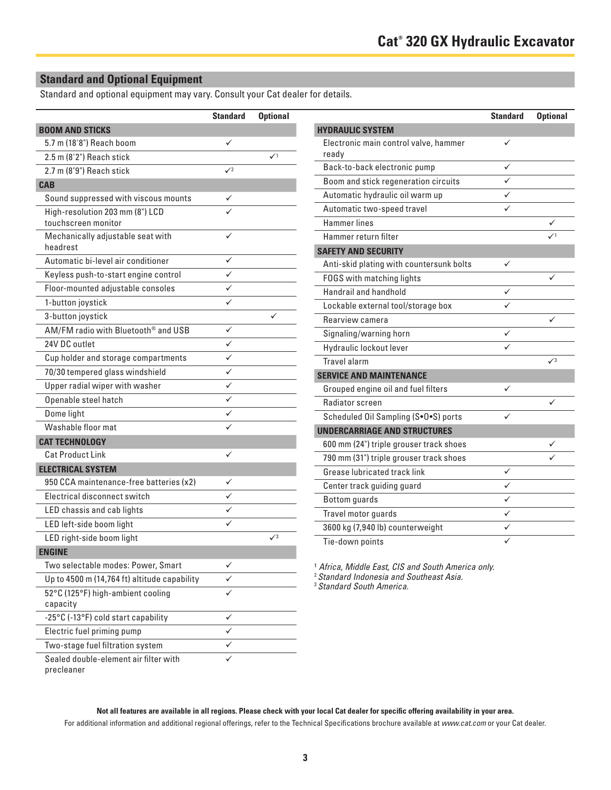#### **Standard and Optional Equipment**

Standard and optional equipment may vary. Consult your Cat dealer for details.

|                                                        | <b>Standard</b> | <b>Optional</b> |
|--------------------------------------------------------|-----------------|-----------------|
| <b>BOOM AND STICKS</b>                                 |                 |                 |
| 5.7 m (18'8") Reach boom                               |                 |                 |
| 2.5 m (8'2") Reach stick                               |                 | $\mathcal{N}^1$ |
| 2.7 m (8'9") Reach stick                               | $\sqrt{2}$      |                 |
| <b>CAB</b>                                             |                 |                 |
| Sound suppressed with viscous mounts                   | ✓               |                 |
| High-resolution 203 mm (8") LCD<br>touchscreen monitor |                 |                 |
| Mechanically adjustable seat with<br>headrest          |                 |                 |
| Automatic bi-level air conditioner                     |                 |                 |
| Keyless push-to-start engine control                   |                 |                 |
| Floor-mounted adjustable consoles                      |                 |                 |
| 1-button joystick                                      |                 |                 |
| 3-button joystick                                      |                 | ✓               |
| AM/FM radio with Bluetooth <sup>®</sup> and USB        | ✓               |                 |
| 24V DC outlet                                          | ✓               |                 |
| Cup holder and storage compartments                    | ✓               |                 |
| 70/30 tempered glass windshield                        | ✓               |                 |
| Upper radial wiper with washer                         |                 |                 |
| Openable steel hatch                                   | ✓               |                 |
| Dome light                                             | ✓               |                 |
| Washable floor mat                                     |                 |                 |
| <b>CAT TECHNOLOGY</b>                                  |                 |                 |
| <b>Cat Product Link</b>                                | ✓               |                 |
| <b>ELECTRICAL SYSTEM</b>                               |                 |                 |
| 950 CCA maintenance-free batteries (x2)                | ✓               |                 |
| Electrical disconnect switch                           | ✓               |                 |
| LED chassis and cab lights                             | ✓               |                 |
| LED left-side boom light                               |                 |                 |
| LED right-side boom light                              |                 | $\sqrt{3}$      |
| <b>ENGINE</b>                                          |                 |                 |
| Two selectable modes: Power, Smart                     |                 |                 |
| Up to 4500 m (14,764 ft) altitude capability           |                 |                 |
| 52°C (125°F) high-ambient cooling<br>capacity          |                 |                 |
| -25°C (-13°F) cold start capability                    | ✓               |                 |
| Electric fuel priming pump                             |                 |                 |
| Two-stage fuel filtration system                       |                 |                 |
| Sealed double-element air filter with<br>precleaner    |                 |                 |

| <b>Standard</b><br><b>Optional</b> |                                                         | <b>Standard</b> | <b>Optional</b> |
|------------------------------------|---------------------------------------------------------|-----------------|-----------------|
|                                    | <b>HYDRAULIC SYSTEM</b>                                 |                 |                 |
| ✓                                  | Electronic main control valve, hammer                   | ✓               |                 |
| $\checkmark$                       | ready                                                   |                 |                 |
| $\sqrt{2}$                         | Back-to-back electronic pump                            | ✓               |                 |
|                                    | Boom and stick regeneration circuits                    | ✓               |                 |
| ✓                                  | Automatic hydraulic oil warm up                         | ✓               |                 |
|                                    | Automatic two-speed travel                              | ✓               |                 |
|                                    | <b>Hammer lines</b>                                     |                 | ✓               |
| ✓                                  | Hammer return filter                                    |                 | $\sqrt{1}$      |
|                                    | <b>SAFETY AND SECURITY</b>                              |                 |                 |
| ✓                                  | Anti-skid plating with countersunk bolts                | ✓               |                 |
| ✓                                  | FOGS with matching lights                               |                 | ✓               |
| ✓                                  | Handrail and handhold                                   | ✓               |                 |
| ✓                                  | Lockable external tool/storage box                      | ✓               |                 |
| ✓                                  | Rearview camera                                         |                 | ✓               |
| ✓                                  | Signaling/warning horn                                  | ✓               |                 |
| ✓                                  | Hydraulic lockout lever                                 |                 |                 |
| ✓                                  | Travel alarm                                            |                 | $\sqrt{3}$      |
| ✓                                  | <b>SERVICE AND MAINTENANCE</b>                          |                 |                 |
| ✓                                  | Grouped engine oil and fuel filters                     | ✓               |                 |
| ✓                                  | Radiator screen                                         |                 | ✓               |
| ✓                                  | Scheduled Oil Sampling (S.O.S) ports                    | ✓               |                 |
| ✓                                  | <b>UNDERCARRIAGE AND STRUCTURES</b>                     |                 |                 |
|                                    | 600 mm (24") triple grouser track shoes                 |                 |                 |
| ✓                                  | 790 mm (31") triple grouser track shoes                 |                 |                 |
|                                    | Grease lubricated track link                            | ✓               |                 |
| ✓                                  | Center track guiding guard                              | ✓               |                 |
| ✓                                  |                                                         |                 |                 |
| ✓                                  |                                                         | ✓               |                 |
|                                    | <b>Bottom</b> guards                                    | ✓               |                 |
| ✓                                  | Travel motor guards<br>3600 kg (7,940 lb) counterweight | ✓               |                 |

1 *Africa, Middle East, CIS and South America only.*

<sup>2</sup>*Standard Indonesia and Southeast Asia.*

<sup>3</sup>*Standard South America.*

**Not all features are available in all regions. Please check with your local Cat dealer for specific offering availability in your area.** For additional information and additional regional offerings, refer to the Technical Specifications brochure available at *www.cat.com* or your Cat dealer.